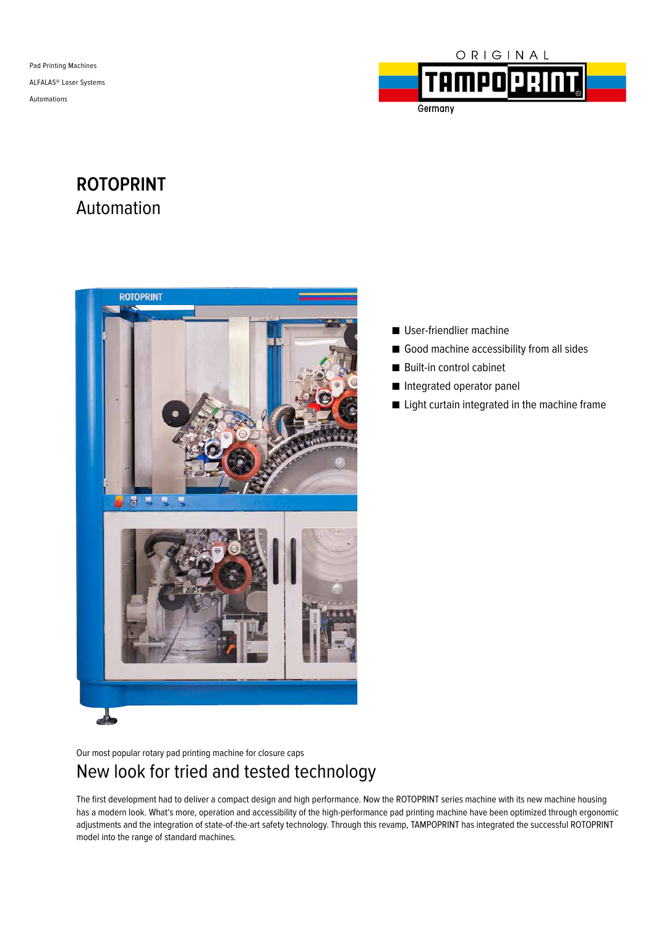Pad Printing Machines ALFALAS® Laser Systems Automations



**TAMPO Q** Germany

# **ROTOPRINT** Automation



- User-friendlier machine
- Good machine accessibility from all sides
- Built-in control cabinet
- Integrated operator panel
- Light curtain integrated in the machine frame

Our most popular rotary pad printing machine for closure caps

## New look for tried and tested technology

The first development had to deliver a compact design and high performance. Now the ROTOPRINT series machine with its new machine housing has a modern look. What's more, operation and accessibility of the high-performance pad printing machine have been optimized through ergonomic adjustments and the integration of state-of-the-art safety technology. Through this revamp, TAMPOPRINT has integrated the successful ROTOPRINT model into the range of standard machines.